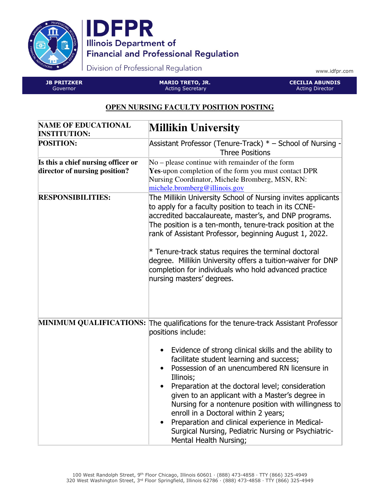



Division of Professional Regulation

www.idfpr.com

JB PRITZKER Governor

MARIO TRETO, JR. Acting Secretary

CECILIA ABUNDIS Acting Director

## **OPEN NURSING FACULTY POSITION POSTING**

| <b>NAME OF EDUCATIONAL</b><br><b>INSTITUTION:</b>                   | <b>Millikin University</b>                                                                                                                                                                                                                                                                                                                                                                                                                                                                                                                                                                                                           |
|---------------------------------------------------------------------|--------------------------------------------------------------------------------------------------------------------------------------------------------------------------------------------------------------------------------------------------------------------------------------------------------------------------------------------------------------------------------------------------------------------------------------------------------------------------------------------------------------------------------------------------------------------------------------------------------------------------------------|
| <b>POSITION:</b>                                                    | Assistant Professor (Tenure-Track) * - School of Nursing -<br><b>Three Positions</b>                                                                                                                                                                                                                                                                                                                                                                                                                                                                                                                                                 |
| Is this a chief nursing officer or<br>director of nursing position? | $No$ – please continue with remainder of the form<br>Yes-upon completion of the form you must contact DPR<br>Nursing Coordinator, Michele Bromberg, MSN, RN:<br>$michele.bromberg@$ illinois.gov                                                                                                                                                                                                                                                                                                                                                                                                                                     |
| <b>RESPONSIBILITIES:</b>                                            | The Millikin University School of Nursing invites applicants<br>to apply for a faculty position to teach in its CCNE-<br>accredited baccalaureate, master's, and DNP programs.<br>The position is a ten-month, tenure-track position at the<br>rank of Assistant Professor, beginning August 1, 2022.<br>$*$ Tenure-track status requires the terminal doctoral<br>degree. Millikin University offers a tuition-waiver for DNP<br>completion for individuals who hold advanced practice<br>nursing masters' degrees.                                                                                                                 |
|                                                                     | MINIMUM QUALIFICATIONS: The qualifications for the tenure-track Assistant Professor<br>positions include:<br>Evidence of strong clinical skills and the ability to<br>facilitate student learning and success;<br>Possession of an unencumbered RN licensure in<br>Illinois;<br>Preparation at the doctoral level; consideration<br>given to an applicant with a Master's degree in<br>Nursing for a nontenure position with willingness to<br>enroll in a Doctoral within 2 years;<br>Preparation and clinical experience in Medical-<br>$\bullet$<br>Surgical Nursing, Pediatric Nursing or Psychiatric-<br>Mental Health Nursing; |